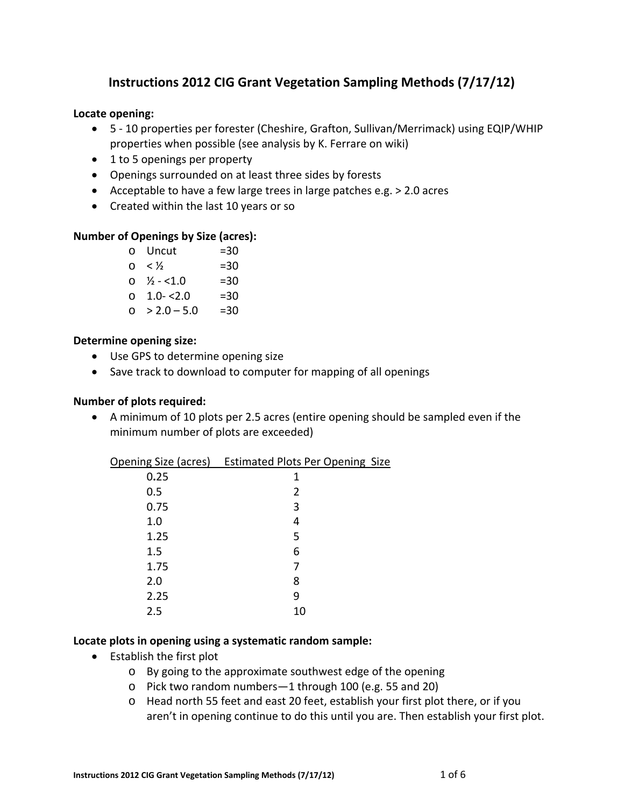# **Instructions 2012 CIG Grant Vegetation Sampling Methods (7/17/12)**

#### **Locate opening:**

- 5 ‐ 10 properties per forester (Cheshire, Grafton, Sullivan/Merrimack) using EQIP/WHIP properties when possible (see analysis by K. Ferrare on wiki)
- 1 to 5 openings per property
- Openings surrounded on at least three sides by forests
- Acceptable to have a few large trees in large patches e.g. > 2.0 acres
- Created within the last 10 years or so

#### **Number of Openings by Size (acres):**

|          | o Uncut                | $= 30$ |
|----------|------------------------|--------|
| $\Omega$ | $\lt$ 1/2              | $= 30$ |
|          | $0 \frac{1}{2}$ - <1.0 | $= 30$ |
|          | $0 1.0 - 2.0$          | $= 30$ |
| $\cap$   | $> 2.0 - 5.0$          | =30    |

#### **Determine opening size:**

- Use GPS to determine opening size
- Save track to download to computer for mapping of all openings

#### **Number of plots required:**

 A minimum of 10 plots per 2.5 acres (entire opening should be sampled even if the minimum number of plots are exceeded)

|      | Opening Size (acres) Estimated Plots Per Opening Size |  |
|------|-------------------------------------------------------|--|
| 0.25 | 1                                                     |  |
| 0.5  | 2                                                     |  |
| 0.75 | 3                                                     |  |
| 1.0  | 4                                                     |  |
| 1.25 | 5                                                     |  |
| 1.5  | 6                                                     |  |
| 1.75 | 7                                                     |  |
| 2.0  | 8                                                     |  |
| 2.25 | q                                                     |  |
| 2.5  | 10                                                    |  |
|      |                                                       |  |

#### **Locate plots in opening using a systematic random sample:**

- Establish the first plot
	- o By going to the approximate southwest edge of the opening
	- o Pick two random numbers—1 through 100 (e.g. 55 and 20)
	- o Head north 55 feet and east 20 feet, establish your first plot there, or if you aren't in opening continue to do this until you are. Then establish your first plot.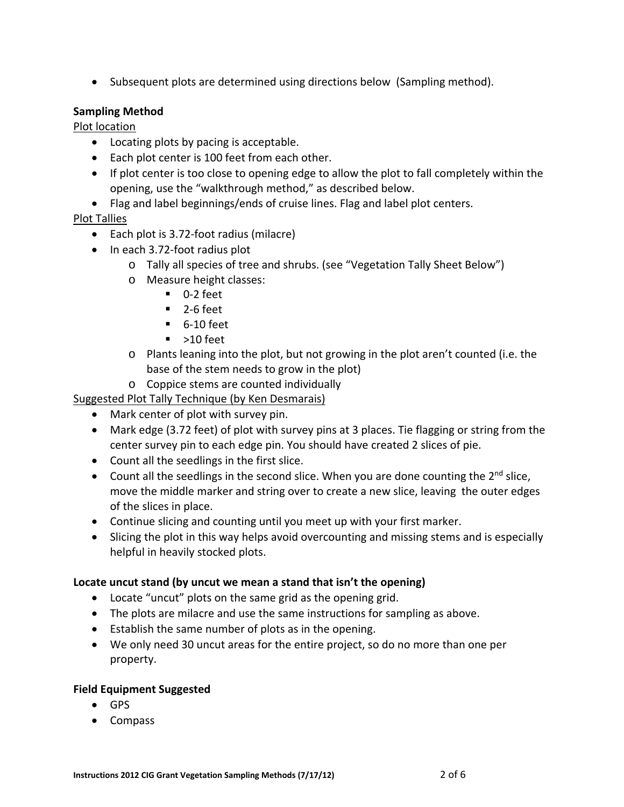• Subsequent plots are determined using directions below (Sampling method).

### **Sampling Method**

Plot location

- Locating plots by pacing is acceptable.
- Each plot center is 100 feet from each other.
- If plot center is too close to opening edge to allow the plot to fall completely within the opening, use the "walkthrough method," as described below.
- Flag and label beginnings/ends of cruise lines. Flag and label plot centers.

### Plot Tallies

- Each plot is 3.72-foot radius (milacre)
- In each 3.72-foot radius plot
	- o Tally all species of tree and shrubs. (see "Vegetation Tally Sheet Below")
		- o Measure height classes:
			- $\blacksquare$  0-2 feet
			- $-2$ -6 feet
			- 6-10 feet
			- $\blacksquare$  >10 feet
		- o Plants leaning into the plot, but not growing in the plot aren't counted (i.e. the base of the stem needs to grow in the plot)
		- o Coppice stems are counted individually

Suggested Plot Tally Technique (by Ken Desmarais)

- Mark center of plot with survey pin.
- Mark edge (3.72 feet) of plot with survey pins at 3 places. Tie flagging or string from the center survey pin to each edge pin. You should have created 2 slices of pie.
- Count all the seedlings in the first slice.
- $\bullet$  Count all the seedlings in the second slice. When you are done counting the 2<sup>nd</sup> slice, move the middle marker and string over to create a new slice, leaving the outer edges of the slices in place.
- Continue slicing and counting until you meet up with your first marker.
- Slicing the plot in this way helps avoid overcounting and missing stems and is especially helpful in heavily stocked plots.

### **Locate uncut stand (by uncut we mean a stand that isn't the opening)**

- Locate "uncut" plots on the same grid as the opening grid.
- The plots are milacre and use the same instructions for sampling as above.
- Establish the same number of plots as in the opening.
- We only need 30 uncut areas for the entire project, so do no more than one per property.

#### **Field Equipment Suggested**

- GPS
- Compass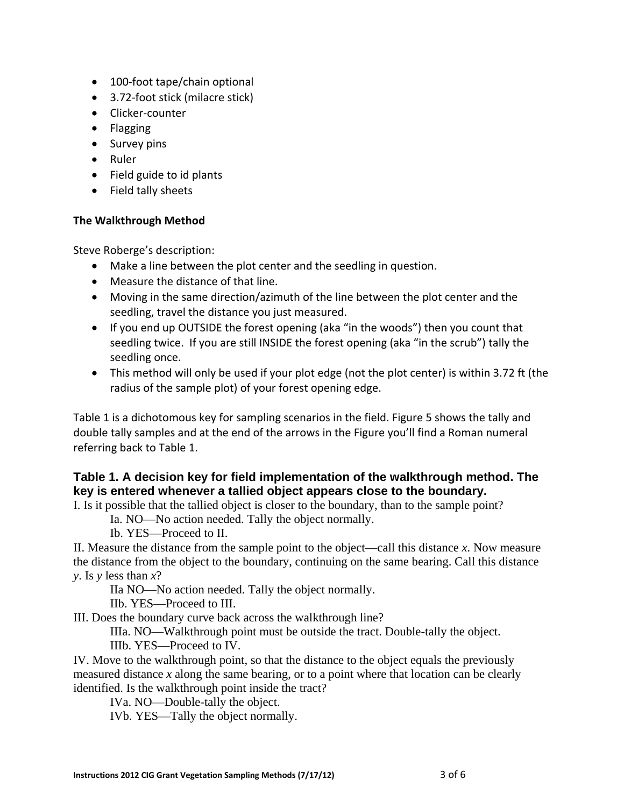- 100-foot tape/chain optional
- 3.72-foot stick (milacre stick)
- Clicker-counter
- Flagging
- Survey pins
- Ruler
- Field guide to id plants
- Field tally sheets

# **The Walkthrough Method**

Steve Roberge's description:

- Make a line between the plot center and the seedling in question.
- Measure the distance of that line.
- Moving in the same direction/azimuth of the line between the plot center and the seedling, travel the distance you just measured.
- If you end up OUTSIDE the forest opening (aka "in the woods") then you count that seedling twice. If you are still INSIDE the forest opening (aka "in the scrub") tally the seedling once.
- This method will only be used if your plot edge (not the plot center) is within 3.72 ft (the radius of the sample plot) of your forest opening edge.

Table 1 is a dichotomous key for sampling scenarios in the field. Figure 5 shows the tally and double tally samples and at the end of the arrows in the Figure you'll find a Roman numeral referring back to Table 1.

# **Table 1. A decision key for field implementation of the walkthrough method. The key is entered whenever a tallied object appears close to the boundary.**

I. Is it possible that the tallied object is closer to the boundary, than to the sample point?

Ia. NO—No action needed. Tally the object normally.

Ib. YES—Proceed to II.

II. Measure the distance from the sample point to the object—call this distance *x*. Now measure the distance from the object to the boundary, continuing on the same bearing. Call this distance *y*. Is *y* less than *x*?

IIa NO—No action needed. Tally the object normally.

IIb. YES—Proceed to III.

III. Does the boundary curve back across the walkthrough line?

IIIa. NO—Walkthrough point must be outside the tract. Double-tally the object.

IIIb. YES—Proceed to IV.

IV. Move to the walkthrough point, so that the distance to the object equals the previously measured distance *x* along the same bearing, or to a point where that location can be clearly identified. Is the walkthrough point inside the tract?

IVa. NO—Double-tally the object.

IVb. YES—Tally the object normally.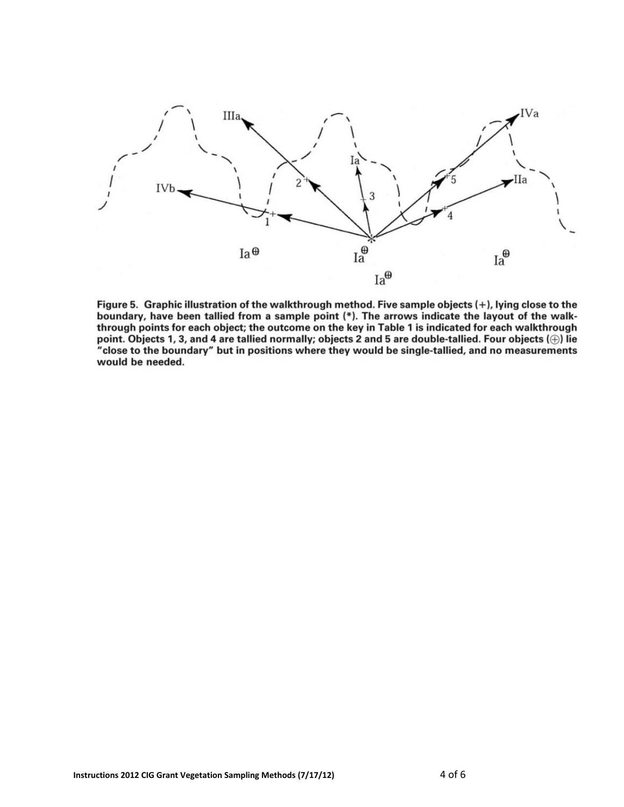

Figure 5. Graphic illustration of the walkthrough method. Five sample objects (+), lying close to the boundary, have been tallied from a sample point (\*). The arrows indicate the layout of the walkthrough points for each object; the outcome on the key in Table 1 is indicated for each walkthrough point. Objects 1, 3, and 4 are tallied normally; objects 2 and 5 are double-tallied. Four objects  $(\oplus)$  lie "close to the boundary" but in positions where they would be single-tallied, and no measurements would be needed.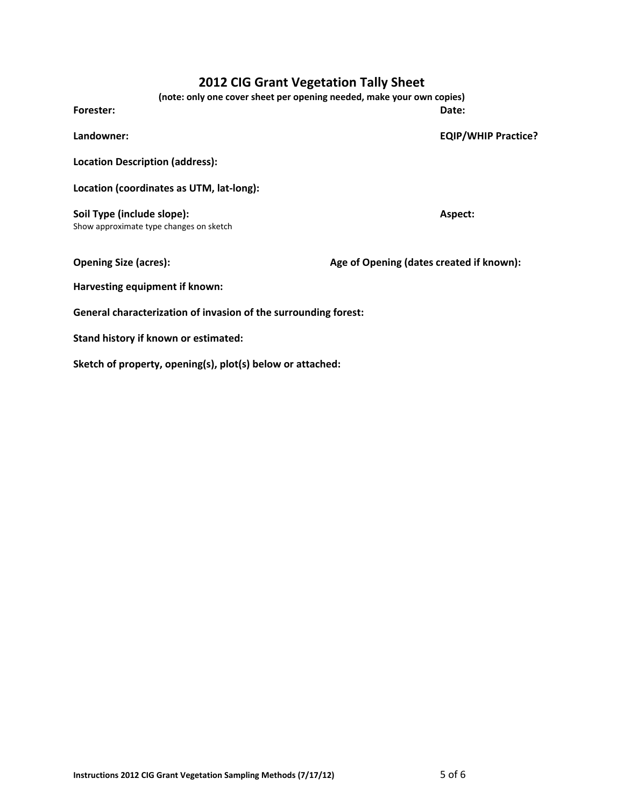# **2012 CIG Grant Vegetation Tally Sheet**

**(note: only one cover sheet per opening needed, make your own copies)**

**Forester: Date:**

**Landowner: EQIP/WHIP Practice?**

**Location Description (address):**

**Location (coordinates as UTM, lat‐long):** 

**Soil Type (include slope): Aspect:** Show approximate type changes on sketch

**Opening Size (acres): Age of Opening (dates created if known):**

**Harvesting equipment if known:**

**General characterization of invasion of the surrounding forest:**

**Stand history if known or estimated:**

**Sketch of property, opening(s), plot(s) below or attached:**